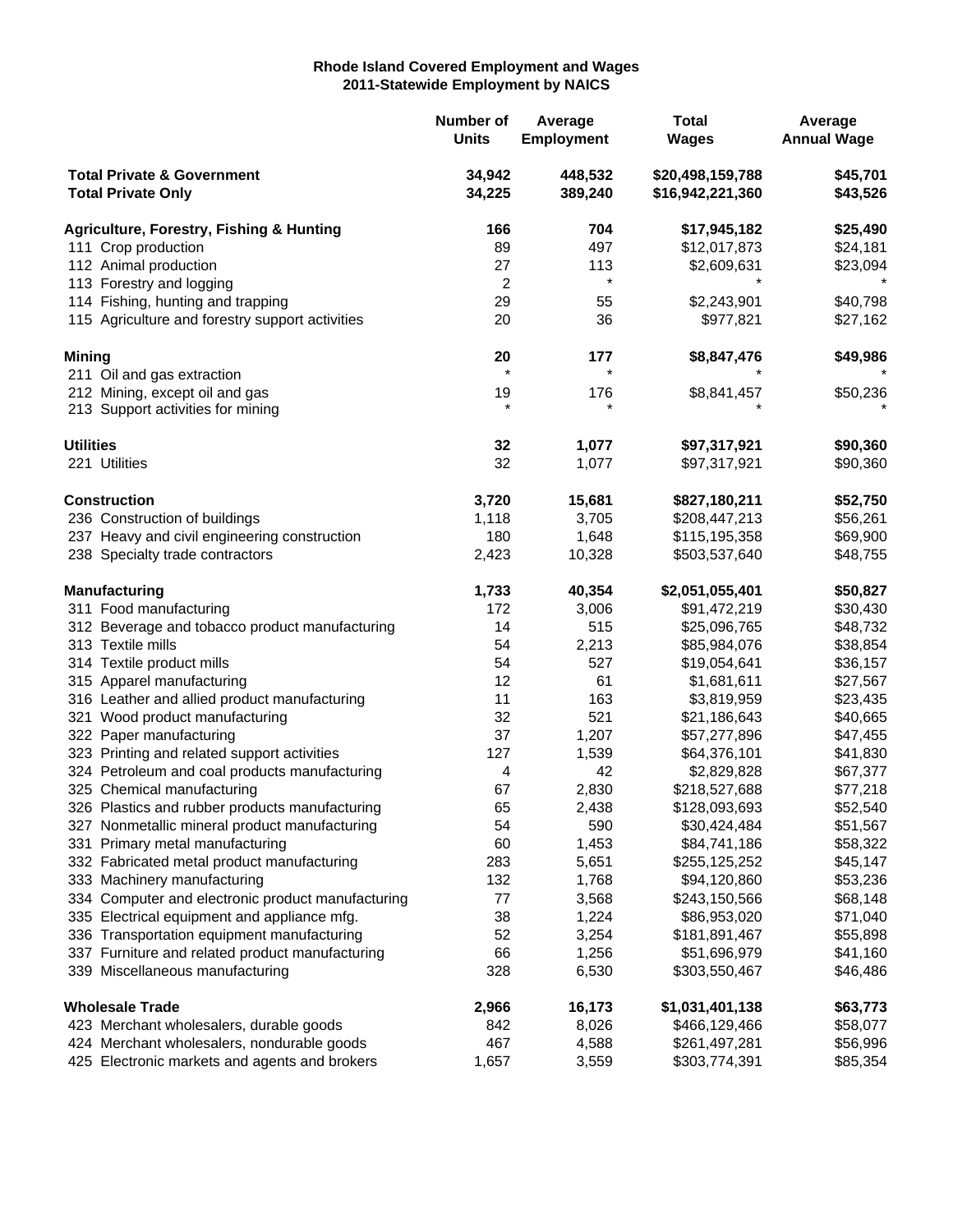## **Rhode Island Covered Employment and Wages 2011-Statewide Employment by NAICS**

|                                                                    |                                                     | Number of<br><b>Units</b> | Average<br><b>Employment</b> | <b>Total</b><br><b>Wages</b>         | Average<br><b>Annual Wage</b> |
|--------------------------------------------------------------------|-----------------------------------------------------|---------------------------|------------------------------|--------------------------------------|-------------------------------|
| <b>Total Private &amp; Government</b><br><b>Total Private Only</b> |                                                     | 34,942<br>34,225          | 448,532<br>389,240           | \$20,498,159,788<br>\$16,942,221,360 | \$45,701<br>\$43,526          |
|                                                                    | <b>Agriculture, Forestry, Fishing &amp; Hunting</b> | 166                       | 704                          | \$17,945,182                         | \$25,490                      |
| 111 Crop production                                                |                                                     | 89                        | 497                          | \$12,017,873                         | \$24,181                      |
|                                                                    | 112 Animal production                               | 27                        | 113                          | \$2,609,631                          | \$23,094                      |
|                                                                    | 113 Forestry and logging                            | 2                         | $\star$                      |                                      |                               |
|                                                                    | 114 Fishing, hunting and trapping                   | 29                        | 55                           | \$2,243,901                          | \$40,798                      |
|                                                                    | 115 Agriculture and forestry support activities     | 20                        | 36                           | \$977,821                            | \$27,162                      |
| <b>Mining</b>                                                      |                                                     | 20                        | 177                          | \$8,847,476                          | \$49,986                      |
|                                                                    | 211 Oil and gas extraction                          | $\star$                   | $\star$                      |                                      |                               |
|                                                                    | 212 Mining, except oil and gas                      | 19                        | 176                          | \$8,841,457                          | \$50,236                      |
|                                                                    | 213 Support activities for mining                   | $\star$                   |                              |                                      |                               |
| <b>Utilities</b>                                                   |                                                     | 32                        | 1,077                        | \$97,317,921                         | \$90,360                      |
|                                                                    | 221 Utilities                                       | 32                        | 1,077                        | \$97,317,921                         | \$90,360                      |
|                                                                    | <b>Construction</b>                                 | 3,720                     | 15,681                       | \$827,180,211                        | \$52,750                      |
|                                                                    | 236 Construction of buildings                       | 1,118                     | 3,705                        | \$208,447,213                        | \$56,261                      |
|                                                                    | 237 Heavy and civil engineering construction        | 180                       | 1,648                        | \$115,195,358                        | \$69,900                      |
|                                                                    | 238 Specialty trade contractors                     | 2,423                     | 10,328                       | \$503,537,640                        | \$48,755                      |
|                                                                    | <b>Manufacturing</b>                                | 1,733                     | 40,354                       | \$2,051,055,401                      | \$50,827                      |
|                                                                    | 311 Food manufacturing                              | 172                       | 3,006                        | \$91,472,219                         | \$30,430                      |
|                                                                    | 312 Beverage and tobacco product manufacturing      | 14                        | 515                          | \$25,096,765                         | \$48,732                      |
|                                                                    | 313 Textile mills                                   | 54                        | 2,213                        | \$85,984,076                         | \$38,854                      |
|                                                                    | 314 Textile product mills                           | 54                        | 527                          | \$19,054,641                         | \$36,157                      |
|                                                                    | 315 Apparel manufacturing                           | 12                        | 61                           | \$1,681,611                          | \$27,567                      |
|                                                                    | 316 Leather and allied product manufacturing        | 11                        | 163                          | \$3,819,959                          | \$23,435                      |
|                                                                    | 321 Wood product manufacturing                      | 32                        | 521                          | \$21,186,643                         | \$40,665                      |
|                                                                    | 322 Paper manufacturing                             | 37                        | 1,207                        | \$57,277,896                         | \$47,455                      |
|                                                                    | 323 Printing and related support activities         | 127                       | 1,539                        | \$64,376,101                         | \$41,830                      |
|                                                                    | 324 Petroleum and coal products manufacturing       | 4                         | 42                           | \$2,829,828                          | \$67,377                      |
|                                                                    | 325 Chemical manufacturing                          | 67                        | 2,830                        | \$218,527,688                        | \$77,218                      |
|                                                                    | 326 Plastics and rubber products manufacturing      | 65                        | 2,438                        | \$128,093,693                        | \$52,540                      |
|                                                                    | 327 Nonmetallic mineral product manufacturing       | 54                        | 590                          | \$30,424,484                         | \$51,567                      |
|                                                                    | 331 Primary metal manufacturing                     | 60                        | 1,453                        | \$84,741,186                         | \$58,322                      |
|                                                                    | 332 Fabricated metal product manufacturing          | 283                       | 5,651                        | \$255,125,252                        | \$45,147                      |
|                                                                    | 333 Machinery manufacturing                         | 132                       | 1,768                        | \$94,120,860                         | \$53,236                      |
|                                                                    | 334 Computer and electronic product manufacturing   | 77                        | 3,568                        | \$243,150,566                        | \$68,148                      |
|                                                                    | 335 Electrical equipment and appliance mfg.         | 38                        | 1,224                        | \$86,953,020                         | \$71,040                      |
|                                                                    | 336 Transportation equipment manufacturing          | 52                        | 3,254                        | \$181,891,467                        | \$55,898                      |
|                                                                    | 337 Furniture and related product manufacturing     | 66                        | 1,256                        | \$51,696,979                         | \$41,160                      |
|                                                                    | 339 Miscellaneous manufacturing                     | 328                       | 6,530                        | \$303,550,467                        | \$46,486                      |
|                                                                    | <b>Wholesale Trade</b>                              | 2,966                     | 16,173                       | \$1,031,401,138                      | \$63,773                      |
|                                                                    | 423 Merchant wholesalers, durable goods             | 842                       | 8,026                        | \$466,129,466                        | \$58,077                      |
|                                                                    | 424 Merchant wholesalers, nondurable goods          | 467                       | 4,588                        | \$261,497,281                        | \$56,996                      |
|                                                                    | 425 Electronic markets and agents and brokers       | 1,657                     | 3,559                        | \$303,774,391                        | \$85,354                      |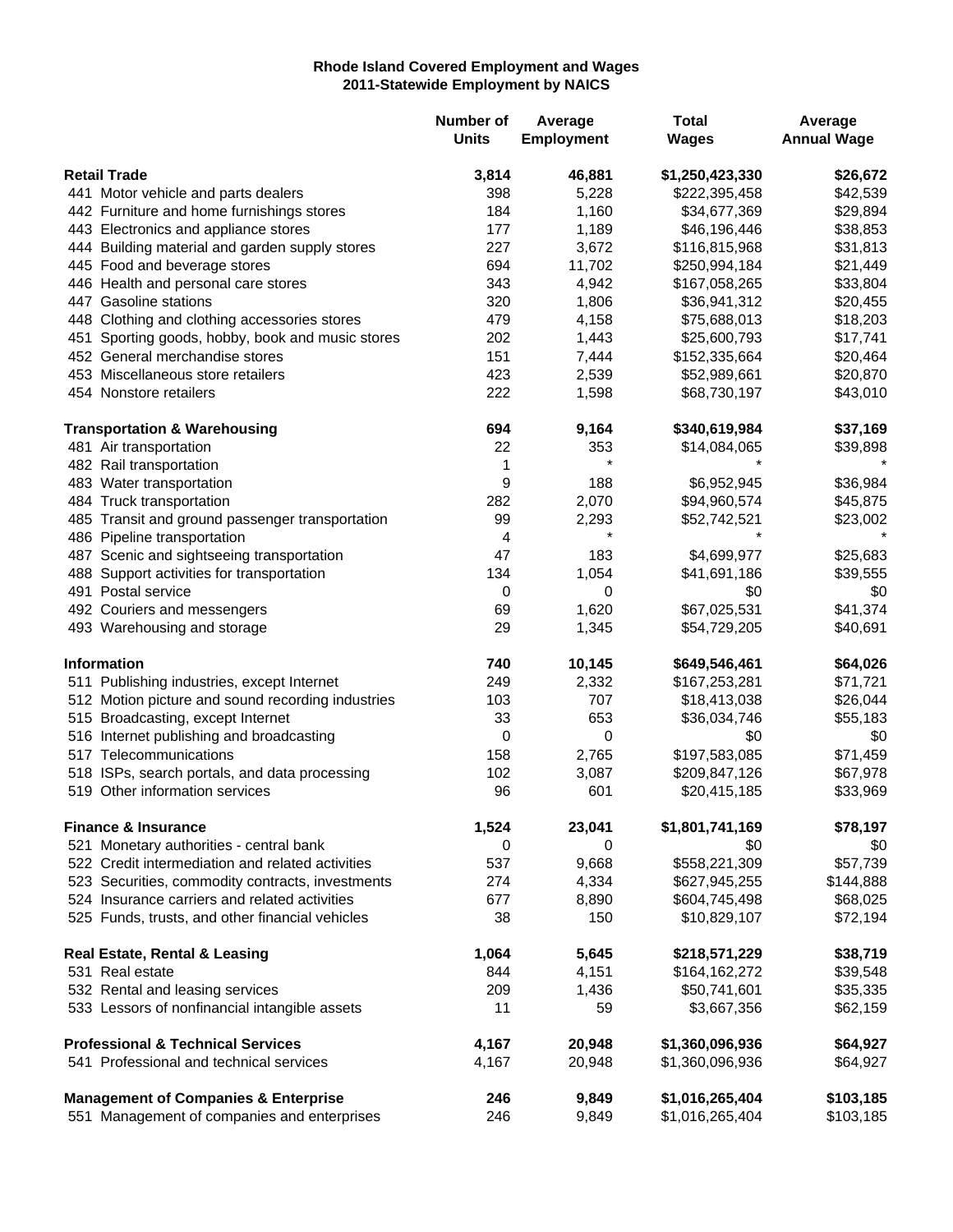## **Rhode Island Covered Employment and Wages 2011-Statewide Employment by NAICS**

|                     |                                                   | Number of<br><b>Units</b> | Average<br><b>Employment</b> | <b>Total</b><br><b>Wages</b> | Average<br><b>Annual Wage</b> |
|---------------------|---------------------------------------------------|---------------------------|------------------------------|------------------------------|-------------------------------|
| <b>Retail Trade</b> |                                                   | 3,814                     | 46,881                       | \$1,250,423,330              | \$26,672                      |
|                     | 441 Motor vehicle and parts dealers               | 398                       | 5,228                        | \$222,395,458                | \$42,539                      |
|                     | 442 Furniture and home furnishings stores         | 184                       | 1,160                        | \$34,677,369                 | \$29,894                      |
|                     | 443 Electronics and appliance stores              | 177                       | 1,189                        | \$46,196,446                 | \$38,853                      |
|                     | 444 Building material and garden supply stores    | 227                       | 3,672                        | \$116,815,968                | \$31,813                      |
|                     | 445 Food and beverage stores                      | 694                       | 11,702                       | \$250,994,184                | \$21,449                      |
|                     | 446 Health and personal care stores               | 343                       | 4,942                        | \$167,058,265                | \$33,804                      |
|                     | 447 Gasoline stations                             | 320                       | 1,806                        | \$36,941,312                 | \$20,455                      |
|                     | 448 Clothing and clothing accessories stores      | 479                       | 4,158                        | \$75,688,013                 | \$18,203                      |
|                     | 451 Sporting goods, hobby, book and music stores  | 202                       | 1,443                        | \$25,600,793                 | \$17,741                      |
|                     | 452 General merchandise stores                    | 151                       | 7,444                        | \$152,335,664                | \$20,464                      |
|                     | 453 Miscellaneous store retailers                 | 423                       | 2,539                        | \$52,989,661                 | \$20,870                      |
|                     | 454 Nonstore retailers                            | 222                       | 1,598                        | \$68,730,197                 | \$43,010                      |
|                     | <b>Transportation &amp; Warehousing</b>           | 694                       | 9,164                        | \$340,619,984                | \$37,169                      |
|                     | 481 Air transportation                            | 22                        | 353                          | \$14,084,065                 | \$39,898                      |
|                     | 482 Rail transportation                           | 1                         | $\star$                      |                              |                               |
|                     | 483 Water transportation                          | 9                         | 188                          | \$6,952,945                  | \$36,984                      |
|                     | 484 Truck transportation                          | 282                       | 2,070                        | \$94,960,574                 | \$45,875                      |
|                     | 485 Transit and ground passenger transportation   | 99                        | 2,293                        | \$52,742,521                 | \$23,002                      |
|                     | 486 Pipeline transportation                       | 4                         | $\star$                      |                              |                               |
|                     | 487 Scenic and sightseeing transportation         | 47                        | 183                          | \$4,699,977                  | \$25,683                      |
|                     | 488 Support activities for transportation         | 134                       | 1,054                        | \$41,691,186                 | \$39,555                      |
|                     | 491 Postal service                                | 0                         | 0                            | \$0                          | \$0                           |
|                     | 492 Couriers and messengers                       | 69                        | 1,620                        | \$67,025,531                 | \$41,374                      |
|                     | 493 Warehousing and storage                       | 29                        | 1,345                        | \$54,729,205                 | \$40,691                      |
|                     | <b>Information</b>                                | 740                       | 10,145                       | \$649,546,461                | \$64,026                      |
|                     | 511 Publishing industries, except Internet        | 249                       | 2,332                        | \$167,253,281                | \$71,721                      |
|                     | 512 Motion picture and sound recording industries | 103                       | 707                          | \$18,413,038                 | \$26,044                      |
|                     | 515 Broadcasting, except Internet                 | 33                        | 653                          | \$36,034,746                 | \$55,183                      |
|                     | 516 Internet publishing and broadcasting          | 0                         | 0                            | \$0                          | \$0                           |
|                     | 517 Telecommunications                            | 158                       | 2,765                        | \$197,583,085                | \$71,459                      |
|                     | 518 ISPs, search portals, and data processing     | 102                       | 3,087                        | \$209,847,126                | \$67,978                      |
|                     | 519 Other information services                    | 96                        | 601                          | \$20,415,185                 | \$33,969                      |
|                     | <b>Finance &amp; Insurance</b>                    | 1,524                     | 23,041                       | \$1,801,741,169              | \$78,197                      |
|                     | 521 Monetary authorities - central bank           | 0                         | 0                            | \$0                          | \$0                           |
|                     | 522 Credit intermediation and related activities  | 537                       | 9,668                        | \$558,221,309                | \$57,739                      |
|                     | 523 Securities, commodity contracts, investments  | 274                       | 4,334                        | \$627,945,255                | \$144,888                     |
|                     | 524 Insurance carriers and related activities     | 677                       | 8,890                        | \$604,745,498                | \$68,025                      |
|                     | 525 Funds, trusts, and other financial vehicles   | 38                        | 150                          | \$10,829,107                 | \$72,194                      |
|                     | <b>Real Estate, Rental &amp; Leasing</b>          | 1,064                     | 5,645                        | \$218,571,229                | \$38,719                      |
|                     | 531 Real estate                                   | 844                       | 4,151                        | \$164,162,272                | \$39,548                      |
|                     | 532 Rental and leasing services                   | 209                       | 1,436                        | \$50,741,601                 | \$35,335                      |
|                     | 533 Lessors of nonfinancial intangible assets     | 11                        | 59                           | \$3,667,356                  | \$62,159                      |
|                     | <b>Professional &amp; Technical Services</b>      | 4,167                     | 20,948                       | \$1,360,096,936              | \$64,927                      |
|                     | 541 Professional and technical services           | 4,167                     | 20,948                       | \$1,360,096,936              | \$64,927                      |
|                     | <b>Management of Companies &amp; Enterprise</b>   | 246                       | 9,849                        | \$1,016,265,404              | \$103,185                     |
|                     | 551 Management of companies and enterprises       | 246                       | 9,849                        | \$1,016,265,404              | \$103,185                     |